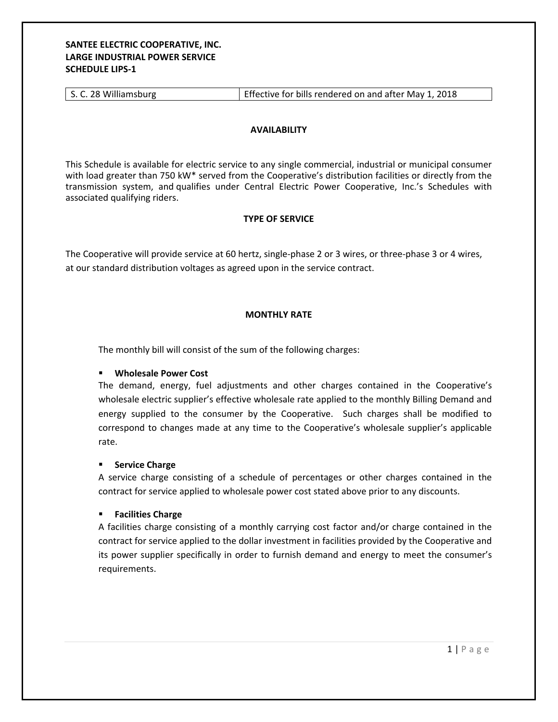# **SANTEE ELECTRIC COOPERATIVE, INC. LARGE INDUSTRIAL POWER SERVICE SCHEDULE LIPS‐1**

## **AVAILABILITY**

This Schedule is available for electric service to any single commercial, industrial or municipal consumer with load greater than 750 kW\* served from the Cooperative's distribution facilities or directly from the transmission system, and qualifies under Central Electric Power Cooperative, Inc.'s Schedules with associated qualifying riders.

## **TYPE OF SERVICE**

The Cooperative will provide service at 60 hertz, single‐phase 2 or 3 wires, or three‐phase 3 or 4 wires, at our standard distribution voltages as agreed upon in the service contract.

## **MONTHLY RATE**

The monthly bill will consist of the sum of the following charges:

#### **Wholesale Power Cost**

The demand, energy, fuel adjustments and other charges contained in the Cooperative's wholesale electric supplier's effective wholesale rate applied to the monthly Billing Demand and energy supplied to the consumer by the Cooperative. Such charges shall be modified to correspond to changes made at any time to the Cooperative's wholesale supplier's applicable rate.

#### **Service Charge**

A service charge consisting of a schedule of percentages or other charges contained in the contract for service applied to wholesale power cost stated above prior to any discounts.

# **Facilities Charge**

A facilities charge consisting of a monthly carrying cost factor and/or charge contained in the contract for service applied to the dollar investment in facilities provided by the Cooperative and its power supplier specifically in order to furnish demand and energy to meet the consumer's requirements.